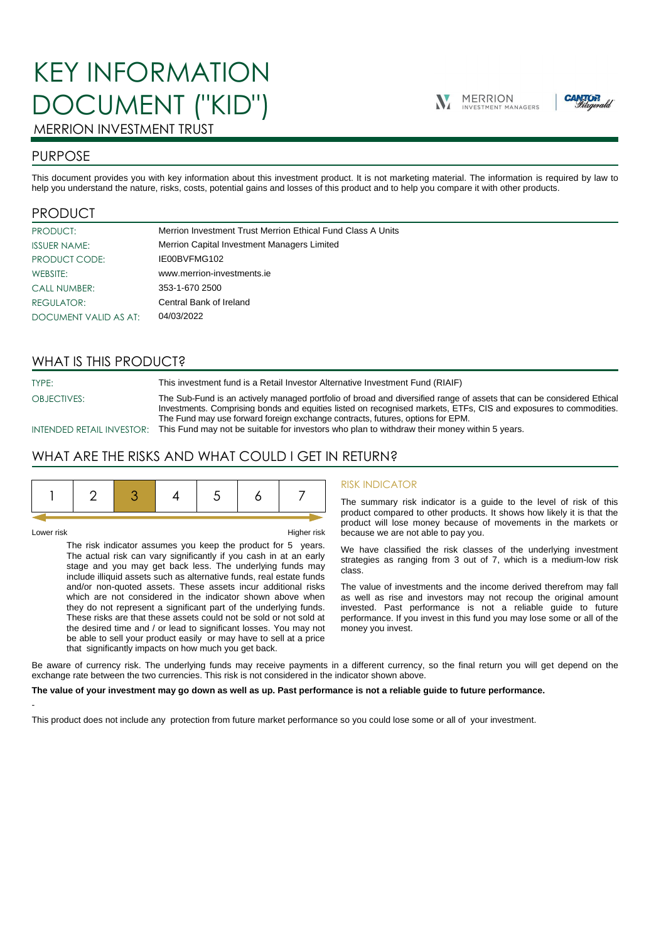# KEY INFORMATION DOCUMENT ("KID")





## MERRION INVESTMENT TRUST

## PURPOSE

This document provides you with key information about this investment product. It is not marketing material. The information is required by law to help you understand the nature, risks, costs, potential gains and losses of this product and to help you compare it with other products.

## PRODUCT

| PRODUCT:              | Merrion Investment Trust Merrion Ethical Fund Class A Units |
|-----------------------|-------------------------------------------------------------|
| <b>ISSUER NAME:</b>   | Merrion Capital Investment Managers Limited                 |
| PRODUCT CODE:         | IE00BVFMG102                                                |
| WEBSITE:              | www.merrion-investments.ie                                  |
| <b>CALL NUMBER:</b>   | 353-1-670 2500                                              |
| REGULATOR:            | Central Bank of Ireland                                     |
| DOCUMENT VALID AS AT: | 04/03/2022                                                  |

## WHAT IS THIS PRODUCT?

TYPE: This investment fund is a Retail Investor Alternative Investment Fund (RIAIF)

OBJECTIVES: The Sub-Fund is an actively managed portfolio of broad and diversified range of assets that can be considered Ethical Investments. Comprising bonds and equities listed on recognised markets, ETFs, CIS and exposures to commodities. The Fund may use forward foreign exchange contracts, futures, options for EPM.

INTENDED RETAIL INVESTOR: This Fund may not be suitable for investors who plan to withdraw their money within 5 years.

## WHAT ARE THE RISKS AND WHAT COULD I GET IN RETURN?

|--|--|--|--|--|--|--|--|

-

Lower risk Higher risk

The risk indicator assumes you keep the product for 5 years. The actual risk can vary significantly if you cash in at an early stage and you may get back less. The underlying funds may include illiquid assets such as alternative funds, real estate funds and/or non-quoted assets. These assets incur additional risks which are not considered in the indicator shown above when they do not represent a significant part of the underlying funds. These risks are that these assets could not be sold or not sold at the desired time and / or lead to significant losses. You may not be able to sell your product easily or may have to sell at a price that significantly impacts on how much you get back.

#### RISK INDICATOR

The summary risk indicator is a guide to the level of risk of this product compared to other products. It shows how likely it is that the product will lose money because of movements in the markets or because we are not able to pay you.

We have classified the risk classes of the underlying investment strategies as ranging from 3 out of 7, which is a medium-low risk class.

The value of investments and the income derived therefrom may fall as well as rise and investors may not recoup the original amount invested. Past performance is not a reliable guide to future performance. If you invest in this fund you may lose some or all of the money you invest.

Be aware of currency risk. The underlying funds may receive payments in a different currency, so the final return you will get depend on the exchange rate between the two currencies. This risk is not considered in the indicator shown above.

#### **The value of your investment may go down as well as up. Past performance is not a reliable guide to future performance.**

This product does not include any protection from future market performance so you could lose some or all of your investment.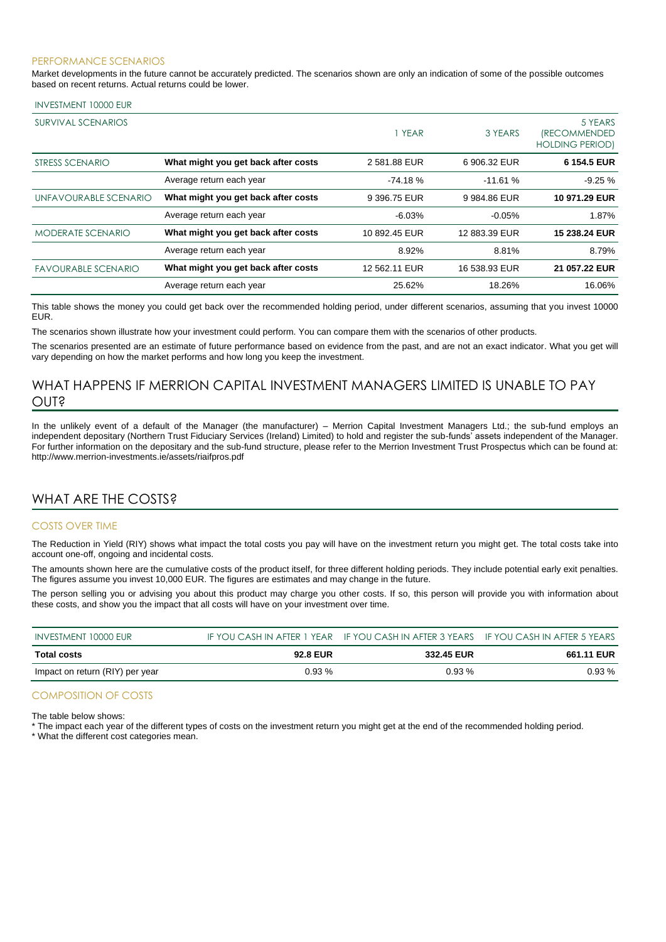#### PERFORMANCE SCENARIOS

Market developments in the future cannot be accurately predicted. The scenarios shown are only an indication of some of the possible outcomes based on recent returns. Actual returns could be lower.

#### INVESTMENT 10000 EUR

| SURVIVAL SCENARIOS         |                                     | 1 YEAR        | 3 YEARS       | 5 YEARS<br><i><b>IRECOMMENDED</b></i><br><b>HOLDING PERIOD)</b> |
|----------------------------|-------------------------------------|---------------|---------------|-----------------------------------------------------------------|
| STRESS SCENARIO            | What might you get back after costs | 2581.88 EUR   | 6 906.32 EUR  | 6 154.5 EUR                                                     |
|                            | Average return each year            | $-74.18%$     | $-11.61%$     | $-9.25%$                                                        |
| UNFAVOURABLE SCENARIO      | What might you get back after costs | 9 396.75 EUR  | 9 984.86 EUR  | 10 971.29 EUR                                                   |
|                            | Average return each year            | $-6.03%$      | $-0.05%$      | 1.87%                                                           |
| <b>MODERATE SCENARIO</b>   | What might you get back after costs | 10 892.45 EUR | 12 883.39 EUR | 15 238.24 EUR                                                   |
|                            | Average return each year            | 8.92%         | 8.81%         | 8.79%                                                           |
| <b>FAVOURABLE SCENARIO</b> | What might you get back after costs | 12 562.11 EUR | 16 538.93 EUR | 21 057.22 EUR                                                   |
|                            | Average return each year            | 25.62%        | 18.26%        | 16.06%                                                          |

This table shows the money you could get back over the recommended holding period, under different scenarios, assuming that you invest 10000 EUR.

The scenarios shown illustrate how your investment could perform. You can compare them with the scenarios of other products.

The scenarios presented are an estimate of future performance based on evidence from the past, and are not an exact indicator. What you get will vary depending on how the market performs and how long you keep the investment.

## WHAT HAPPENS IF MERRION CAPITAL INVESTMENT MANAGERS LIMITED IS UNABLE TO PAY OUT?

In the unlikely event of a default of the Manager (the manufacturer) – Merrion Capital Investment Managers Ltd.; the sub-fund employs an independent depositary (Northern Trust Fiduciary Services (Ireland) Limited) to hold and register the sub-funds' assets independent of the Manager. For further information on the depositary and the sub-fund structure, please refer to the Merrion Investment Trust Prospectus which can be found at: http://www.merrion-investments.ie/assets/riaifpros.pdf

## WHAT ARE THE COSTS?

#### COSTS OVER TIME

The Reduction in Yield (RIY) shows what impact the total costs you pay will have on the investment return you might get. The total costs take into account one-off, ongoing and incidental costs.

The amounts shown here are the cumulative costs of the product itself, for three different holding periods. They include potential early exit penalties. The figures assume you invest 10,000 EUR. The figures are estimates and may change in the future.

The person selling you or advising you about this product may charge you other costs. If so, this person will provide you with information about these costs, and show you the impact that all costs will have on your investment over time.

| INVESTMENT 10000 EUR            |                 | IF YOU CASH IN AFTER 1 YEAR IF YOU CASH IN AFTER 3 YEARS IF YOU CASH IN AFTER 5 YEARS |            |
|---------------------------------|-----------------|---------------------------------------------------------------------------------------|------------|
| Total costs                     | <b>92.8 EUR</b> | 332.45 EUR                                                                            | 661.11 EUR |
| Impact on return (RIY) per year | $0.93\%$        | 0.93%                                                                                 | $0.93\%$   |

### COMPOSITION OF COSTS

The table below shows:

\* The impact each year of the different types of costs on the investment return you might get at the end of the recommended holding period.

\* What the different cost categories mean.